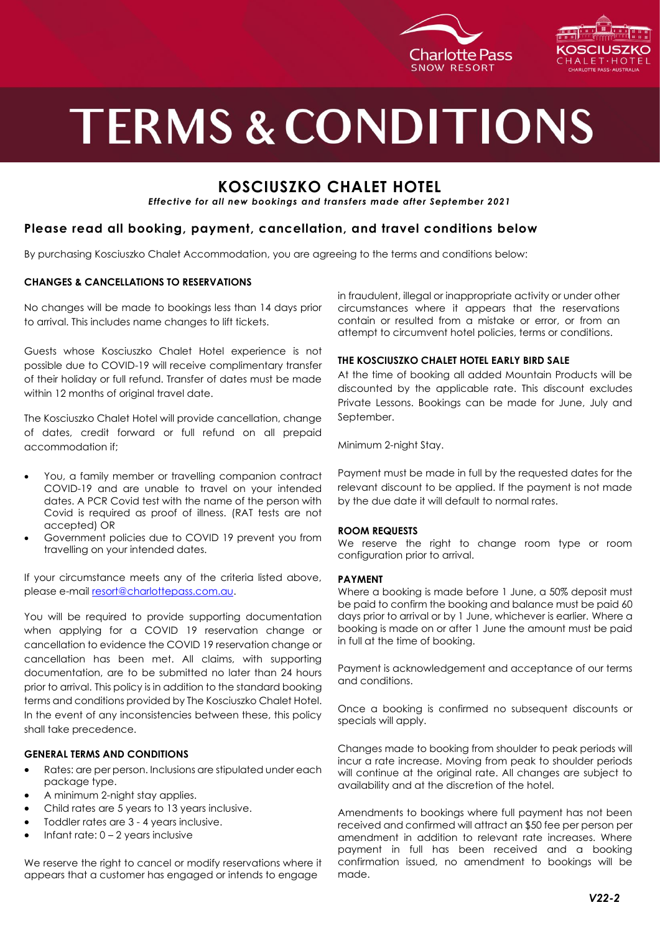



# **TERMS & CONDITIONS**

### **KOSCIUSZKO CHALET HOTEL**

*Effective for all new bookings and transfers made after September 2021*

#### **Please read all booking, payment, cancellation, and travel conditions below**

By purchasing Kosciuszko Chalet Accommodation, you are agreeing to the terms and conditions below:

#### **CHANGES & CANCELLATIONS TO RESERVATIONS**

No changes will be made to bookings less than 14 days prior to arrival. This includes name changes to lift tickets.

Guests whose Kosciuszko Chalet Hotel experience is not possible due to COVID-19 will receive complimentary transfer of their holiday or full refund. Transfer of dates must be made within 12 months of original travel date.

The Kosciuszko Chalet Hotel will provide cancellation, change of dates, credit forward or full refund on all prepaid accommodation if;

- You, a family member or travelling companion contract COVID-19 and are unable to travel on your intended dates. A PCR Covid test with the name of the person with Covid is required as proof of illness. (RAT tests are not accepted) OR
- Government policies due to COVID 19 prevent you from travelling on your intended dates.

If your circumstance meets any of the criteria listed above, please e-mail [resort@charlottepass.com.au.](mailto:resort@charlottepass.com.au)

You will be required to provide supporting documentation when applying for a COVID 19 reservation change or cancellation to evidence the COVID 19 reservation change or cancellation has been met. All claims, with supporting documentation, are to be submitted no later than 24 hours prior to arrival. This policy is in addition to the standard booking terms and conditions provided by The Kosciuszko Chalet Hotel. In the event of any inconsistencies between these, this policy shall take precedence.

#### **GENERAL TERMS AND CONDITIONS**

- Rates: are per person. Inclusions are stipulated under each package type.
- A minimum 2-night stay applies.
- Child rates are 5 years to 13 years inclusive.
- Toddler rates are 3 4 years inclusive.
- Infant rate:  $0 2$  years inclusive

We reserve the right to cancel or modify reservations where it appears that a customer has engaged or intends to engage

in fraudulent, illegal or inappropriate activity or under other circumstances where it appears that the reservations contain or resulted from a mistake or error, or from an attempt to circumvent hotel policies, terms or conditions.

#### **THE KOSCIUSZKO CHALET HOTEL EARLY BIRD SALE**

At the time of booking all added Mountain Products will be discounted by the applicable rate. This discount excludes Private Lessons. Bookings can be made for June, July and September.

Minimum 2-night Stay.

Payment must be made in full by the requested dates for the relevant discount to be applied. If the payment is not made by the due date it will default to normal rates.

#### **ROOM REQUESTS**

We reserve the right to change room type or room configuration prior to arrival.

#### **PAYMENT**

Where a booking is made before 1 June, a 50% deposit must be paid to confirm the booking and balance must be paid 60 days prior to arrival or by 1 June, whichever is earlier. Where a booking is made on or after 1 June the amount must be paid in full at the time of booking.

Payment is acknowledgement and acceptance of our terms and conditions.

Once a booking is confirmed no subsequent discounts or specials will apply.

Changes made to booking from shoulder to peak periods will incur a rate increase. Moving from peak to shoulder periods will continue at the original rate. All changes are subject to availability and at the discretion of the hotel.

Amendments to bookings where full payment has not been received and confirmed will attract an \$50 fee per person per amendment in addition to relevant rate increases. Where payment in full has been received and a booking confirmation issued, no amendment to bookings will be made.